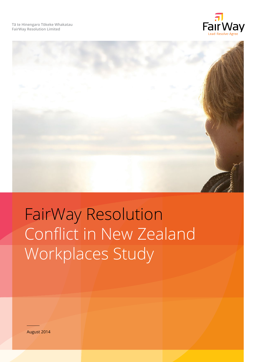**Tā te Hinengaro Tōkeke Whakatau FairWay Resolution Limited**





# FairWay Resolution Conflict in New Zealand Workplaces Study

August 2014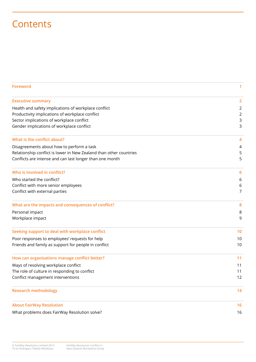# **Contents**

| <b>Foreword</b>                                                    | 1              |
|--------------------------------------------------------------------|----------------|
| <b>Executive summary</b>                                           | $\overline{2}$ |
| Health and safety implications of workplace conflict               | $\overline{2}$ |
| Productivity implications of workplace conflict                    | $\overline{2}$ |
| Sector implications of workplace conflict                          | 3              |
| Gender implications of workplace conflict                          | 3              |
| What is the conflict about?                                        | 4              |
| Disagreements about how to perform a task                          | 4              |
| Relationship conflict is lower in New Zealand than other countries | 5              |
| Conflicts are intense and can last longer than one month           | 5              |
| Who is involved in conflict?                                       | 6              |
| Who started the conflict?                                          | 6              |
| Conflict with more senior employees                                | 6              |
| Conflict with external parties                                     | 7              |
| What are the impacts and consequences of conflict?                 | 8              |
| Personal impact                                                    | 8              |
| Workplace impact                                                   | 9              |
| Seeking support to deal with workplace conflict                    | 10             |
| Poor responses to employees' requests for help                     | 10             |
| Friends and family as support for people in conflict               | 10             |
| How can organisations manage conflict better?                      | 11             |
| Ways of resolving workplace conflict                               | 11             |
| The role of culture in responding to conflict                      | 11             |
| Conflict management interventions                                  | 12             |
| <b>Research methodology</b>                                        | 14             |
| <b>About FairWay Resolution</b>                                    | 16             |
| What problems does FairWay Resolution solve?                       | 16             |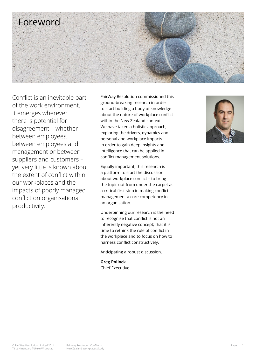

Conflict is an inevitable part of the work environment. It emerges wherever there is potential for disagreement – whether between employees, between employees and management or between suppliers and customers – yet very little is known about the extent of conflict within our workplaces and the impacts of poorly managed conflict on organisational productivity.

FairWay Resolution commissioned this ground-breaking research in order to start building a body of knowledge about the nature of workplace conflict within the New Zealand context. We have taken a holistic approach; exploring the drivers, dynamics and personal and workplace impacts in order to gain deep insights and intelligence that can be applied in conflict management solutions.

Equally important, this research is a platform to start the discussion about workplace conflict – to bring the topic out from under the carpet as a critical first step in making conflict management a core competency in an organisation.

Underpinning our research is the need to recognise that conflict is not an inherently negative concept; that it is time to rethink the role of conflict in the workplace and to focus on how to harness conflict constructively.

Anticipating a robust discussion.

**Greg Pollock** Chief Executive

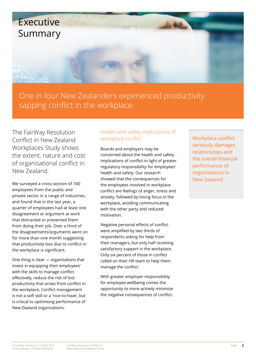

One in four New Zealanders experienced productivity sapping conflict in the workplace.

The FairWay Resolution Conflict in New Zealand Workplaces Study shows the extent, nature and cost of organisational conflict in New Zealand.

We surveyed a cross-section of 740 employees from the public and private sector in a range of industries, and found that in the last year, a quarter of employees had at least one disagreement or argument at work that distracted or prevented them from doing their job. Over a third of the disagreements/arguments went on for more than one month suggesting that productivity loss due to conflict in the workplace is significant.

One thing is clear — organisations that invest in equipping their employees' with the skills to manage conflict effectively, reduce the risk of lost productivity that arises from conflict in the workplace. Conflict management is not a soft skill or a 'nice-to-have', but is critical to optimising performance of New Zealand organisations.

# Health and safety implications of workplace conflict

Boards and employers may be concerned about the health and safety implications of conflict in light of greater regulatory responsibility for employees' health and safety. Our research showed that the consequences for the employees involved in workplace conflict are feelings of anger, stress and anxiety, followed by losing focus in the workplace, avoiding communicating with the other party and reduced motivation.

Negative personal effects of conflict were amplified by two thirds of respondents asking for help from their managers, but only half receiving satisfactory support in the workplace. Only six percent of those in conflict called on their HR team to help them manage the conflict.

With greater employer responsibility for employee wellbeing comes the opportunity to more actively minimise the negative consequences of conflict. Workplace conflict seriously damages relationships and the overall financial performance of organisations in New Zealand.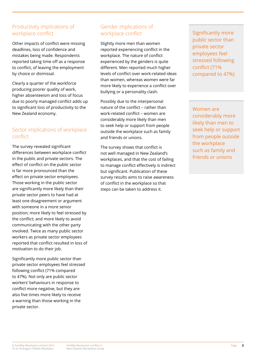# Productivity implications of workplace conflict

Other impacts of conflict were missing deadlines, loss of confidence and mistakes being made. Respondents reported taking time off as a response to conflict, of leaving the employment by choice or dismissal.

Clearly a quarter of the workforce producing poorer quality of work, higher absenteeism and loss of focus due to poorly managed conflict adds up to significant loss of productivity to the New Zealand economy.

# Sector implications of workplace conflict

The survey revealed significant differences between workplace conflict in the public and private sectors. The effect of conflict on the public sector is far more pronounced than the effect on private sector employees. Those working in the public sector are significantly more likely than their private sector peers to have had at least one disagreement or argument with someone in a more senior position; more likely to feel stressed by the conflict; and more likely to avoid communicating with the other party involved. Twice as many public sector workers as private sector employees reported that conflict resulted in loss of motivation to do their job.

Significantly more public sector than private sector employees feel stressed following conflict (71% compared to 47%). Not only are public sector workers' behaviours in response to conflict more negative, but they are also five times more likely to receive a warning than those working in the private sector.

# Gender implications of workplace conflict

Slightly more men than women reported experiencing conflict in the workplace. The nature of conflict experienced by the genders is quite different. Men reported much higher levels of conflict over work-related ideas than women, whereas women were far more likely to experience a conflict over bullying or a personality clash.

Possibly due to the interpersonal nature of the conflict – rather than work-related conflict – women are considerably more likely than men to seek help or support from people outside the workplace such as family and friends or unions.

The survey shows that conflict is not well managed in New Zealand's workplaces, and that the cost of failing to manage conflict effectively is indirect but significant. Publication of these survey results aims to raise awareness of conflict in the workplace so that steps can be taken to address it.

Significantly more public sector than private sector employees feel stressed following conflict (71% compared to 47%)

Women are considerably more likely than men to seek help or support from people outside the workplace such as family and friends or unions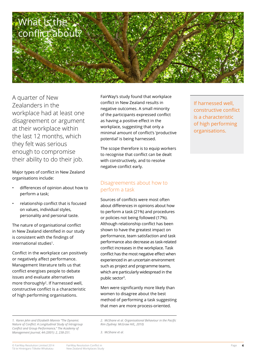

A quarter of New Zealanders in the workplace had at least one disagreement or argument at their workplace within the last 12 months, which they felt was serious enough to compromise their ability to do their job.

Major types of conflict in New Zealand organisations include:

- differences of opinion about how to perform a task;
- relationship conflict that is focused on values, individual styles, personality and personal taste.

The nature of organisational conflict in New Zealand identified in our study is consistent with the findings of international studies<sup>1</sup>.

Conflict in the workplace can positively or negatively affect performance. Management literature tells us that conflict energises people to debate issues and evaluate alternatives more thoroughly<sup>2</sup>. If harnessed well, constructive conflict is a characteristic of high performing organisations.

FairWay's study found that workplace conflict in New Zealand results in negative outcomes. A small minority of the participants expressed conflict as having a positive effect in the workplace, suggesting that only a minimal amount of conflict's 'productive potential' is being harnessed.

The scope therefore is to equip workers to recognise that conflict can be dealt with constructively, and to resolve negative conflict early.

### Disagreements about how to perform a task

Sources of conflicts were most often about differences in opinions about how to perform a task (21%) and procedures or policies not being followed (17%). Although relationship conflict has been shown to have the greatest impact on performance, team satisfaction and task performance also decrease as task-related conflict increases in the workplace. Task conflict has the most negative effect when experienced in an uncertain environment such as project and programme teams, which are particularly widespread in the public sector3.

Men were significantly more likely than women to disagree about the best method of performing a task suggesting that men are more process-oriented.

*1. Karen Jehn and Elizabeth Mannix "The Dynamic Nature of Conflict: A Longitudinal Study of Intragroup Conflict and Group Performance," The Academy of Management Journal, 44 (2001): 2, 238-251.* 

*2. McShane et al. Organisational Behaviour in the Pacific Rim (Sydney: McGraw Hill,, 2010)*

If harnessed well, constructive conflict is a characteristic of high performing organisations.

*<sup>3.</sup> McShane et al.*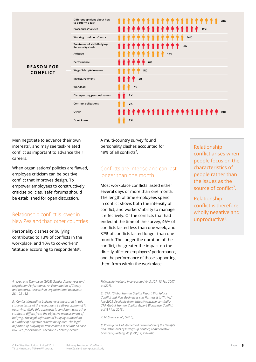

Men negotiate to advance their own interests<sup>4</sup>, and may see task-related conflict as important to advance their careers.

When organisations' policies are flawed, employee criticism can be positive conflict that improves design. To empower employees to constructively criticise policies, 'safe' forums should be established for open discussion.

### Relationship conflict is lower in New Zealand than other countries

Personality clashes or bullying contributed to 13% of conflicts in the workplace, and 10% to co-workers' 'attitude' according to respondents<sup>5</sup>.

A multi-country survey found personality clashes accounted for 49% of all conflicts<sup>6</sup>.

## Conflicts are intense and can last longer than one month

Most workplace conflicts lasted either several days or more than one month. The length of time employees spend in conflict shows both the intensity of conflict, and workers' ability to manage it effectively. Of the conflicts that had ended at the time of the survey, 46% of conflicts lasted less than one week, and 37% of conflicts lasted longer than one month. The longer the duration of the conflict, the greater the impact on the directly affected employees' performance, and the performance of those supporting them from within the workplace.

Relationship conflict arises when people focus on the characteristics of people rather than the issues as the source of conflict<sup>7</sup>.

Relationship conflict is therefore wholly negative and unproductive<sup>8</sup>.

*4. Kray and Thompson (2005) Gender Stereotypes and Negotiation Performance: An Examination of Theory and Research, Research in Organizational Behaviour, 26, 103-182*

*5. Conflict (including bullying) was measured in this study in terms of the respondent's self-perception of it occurring. While this approach is consistent with other studies, it differs from the objective measurement of bullying. The legal definition of bullying is based on a number of objective criteria being met. The legal definition of bullying in New Zealand is reliant on case law. See, for example, Kneebone v Schizophrenia* 

*Fellowship Waikato Incorporated AA 31/07, 13 Feb 2007 at [207].*

*6. CPP. "Global Human Capital Report: Workplace Conflict and How Businesses can Harness it to Thrive," July 2008, Available from: https://www.cpp.com/pdfs/ CPP\_Global\_Human\_Capital\_Report\_Workplace\_Conflict. pdf (31 July 2013).*

*7. McShane et al., (2010).* 

*8. Karen Jehn A Multi-method Examination of the Benefits and Detriments of Intragroup Conflict, Administrative Sciences Quarterly, 40 (1995): 2, 256-282.*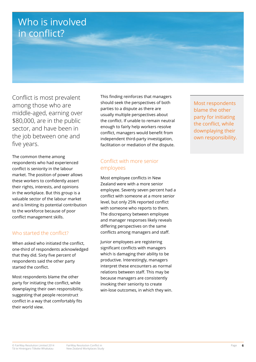# Who is involved in conflict?

Conflict is most prevalent among those who are middle-aged, earning over \$80,000, are in the public sector, and have been in the job between one and five years.

The common theme among respondents who had experienced conflict is seniority in the labour market. The position of power allows these workers to confidently assert their rights, interests, and opinions in the workplace. But this group is a valuable sector of the labour market and is limiting its potential contribution to the workforce because of poor conflict management skills.

# Who started the conflict?

When asked who initiated the conflict, one-third of respondents acknowledged that they did. Sixty five percent of respondents said the other party started the conflict.

Most respondents blame the other party for initiating the conflict, while downplaying their own responsibility, suggesting that people reconstruct conflict in a way that comfortably fits their world view.

This finding reinforces that managers should seek the perspectives of both parties to a dispute as there are usually multiple perspectives about the conflict. If unable to remain neutral enough to fairly help workers resolve conflict, managers would benefit from independent third-party investigation, facilitation or mediation of the dispute.

# Conflict with more senior employees

Most employee conflicts in New Zealand were with a more senior employee. Seventy seven percent had a conflict with someone at a more senior level, but only 25% reported conflict with someone who reports to them. The discrepancy between employee and manager responses likely reveals differing perspectives on the same conflicts among managers and staff.

Junior employees are registering significant conflicts with managers which is damaging their ability to be productive. Interestingly, managers interpret these encounters as normal relations between staff. This may be because managers are consistently invoking their seniority to create win-lose outcomes, in which they win. Most respondents blame the other party for initiating the conflict, while downplaying their own responsibility.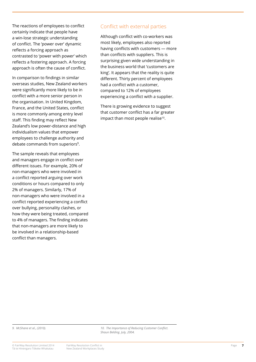The reactions of employees to conflict certainly indicate that people have a win-lose strategic understanding of conflict. The 'power over' dynamic reflects a forcing approach as contrasted to 'power with power' which reflects a fostering approach. A forcing approach is often the cause of conflict.

In comparison to findings in similar overseas studies, New Zealand workers were significantly more likely to be in conflict with a more senior person in the organisation. In United Kingdom, France, and the United States, conflict is more commonly among entry level staff. This finding may reflect New Zealand's low power-distance and high individualism values that empower employees to challenge authority and debate commands from superiors<sup>9</sup>.

The sample reveals that employees and managers engage in conflict over different issues. For example, 20% of non-managers who were involved in a conflict reported arguing over work conditions or hours compared to only 2% of managers. Similarly, 17% of non-managers who were involved in a conflict reported experiencing a conflict over bullying, personality clashes, or how they were being treated, compared to 4% of managers. The finding indicates that non-managers are more likely to be involved in a relationship-based conflict than managers.

## Conflict with external parties

Although conflict with co-workers was most likely, employees also reported having conflicts with customers — more than conflicts with suppliers. This is surprising given wide understanding in the business world that 'customers are king'. It appears that the reality is quite different. Thirty percent of employees had a conflict with a customer, compared to 12% of employees experiencing a conflict with a supplier.

There is growing evidence to suggest that customer conflict has a far greater impact than most people realise<sup>10</sup>.

*9. McShane et al., (2010). 10. The Importance of Reducing Customer Conflict. Shaun Belding. July, 2004.*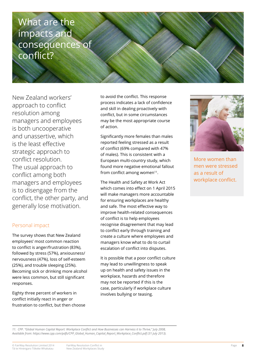# What are the impacts and consequences of conflict?

New Zealand workers' approach to conflict resolution among managers and employees is both uncooperative and unassertive, which is the least effective strategic approach to conflict resolution. The usual approach to conflict among both managers and employees is to disengage from the conflict, the other party, and generally lose motivation.

# Personal impact

The survey shows that New Zealand employees' most common reaction to conflict is anger/frustration (83%), followed by stress (57%), anxiousness/ nervousness (47%), loss of self-esteem (25%), and trouble sleeping (25%). Becoming sick or drinking more alcohol were less common, but still significant responses.

Eighty three percent of workers in conflict initially react in anger or frustration to conflict, but then choose to avoid the conflict. This response process indicates a lack of confidence and skill in dealing proactively with conflict, but in some circumstances may be the most appropriate course of action.

Significantly more females than males reported feeling stressed as a result of conflict (69% compared with 47% of males). This is consistent with a European multi-country study, which found more negative emotional fallout from conflict among women $11$ .

The Health and Safety at Work Act which comes into effect on 1 April 2015 will make managers more accountable for ensuring workplaces are healthy and safe. The most effective way to improve health-related consequences of conflict is to help employees recognise disagreement that may lead to conflict early through training and create a culture where employees and managers know what to do to curtail escalation of conflict into disputes.

It is possible that a poor conflict culture may lead to unwillingness to speak up on health and safety issues in the workplace, hazards and therefore may not be reported if this is the case, particularly if workplace culture involves bullying or teasing.



More women than men were stressed as a result of workplace conflict.

11. CPP. "Global Human Capital Report: Workplace Conflict and How Businesses can Harness it to Thrive," July 2008, *Available from: https://www.cpp.com/pdfs/CPP\_Global\_Human\_Capital\_Report\_Workplace\_Conflict.pdf (31 July 2013).*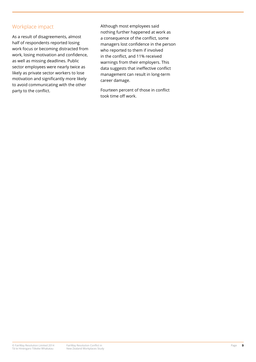# Workplace impact

As a result of disagreements, almost half of respondents reported losing work focus or becoming distracted from work, losing motivation and confidence, as well as missing deadlines. Public sector employees were nearly twice as likely as private sector workers to lose motivation and significantly more likely to avoid communicating with the other party to the conflict.

Although most employees said nothing further happened at work as a consequence of the conflict, some managers lost confidence in the person who reported to them if involved in the conflict, and 11% received warnings from their employers. This data suggests that ineffective conflict management can result in long-term career damage.

Fourteen percent of those in conflict took time off work.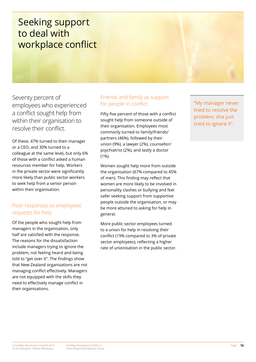# Seeking support to deal with workplace conflict

Seventy percent of employees who experienced a conflict sought help from within their organisation to resolve their conflict.

Of these, 47% turned to their manager or a CEO, and 30% turned to a colleague at the same level, but only 6% of those with a conflict asked a human resources member for help. Workers in the private sector were significantly more likely than public sector workers to seek help from a senior person within their organisation.

# Poor responses to employees' requests for help

Of the people who sought help from managers in the organisation, only half are satisfied with the response. The reasons for the dissatisfaction include managers trying to ignore the problem, not feeling heard and being told to "get over it". The findings show that New Zealand organisations are not managing conflict effectively. Managers are not equipped with the skills they need to effectively manage conflict in their organisations.

# Friends and family as support for people in conflict

Fifty five percent of those with a conflict sought help from someone outside of their organisation. Employees most commonly turned to family/friends/ partners (46%), followed by their union (9%), a lawyer (2%), counsellor/ psychiatrist (2%), and lastly a doctor (1%).

Women sought help more from outside the organisation (67% compared to 45% of men). This finding may reflect that women are more likely to be involved in personality clashes or bullying and feel safer seeking support from supportive people outside the organisation, or may be more attuned to asking for help in general.

More public sector employees turned to a union for help in resolving their conflict (19% compared to 3% of private sector employees), reflecting a higher rate of unionisation in the public sector. "My manager never tried to resolve the problem; she just tried to ignore it".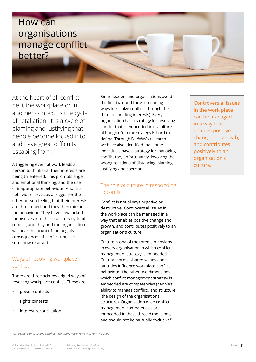

At the heart of all conflict, be it the workplace or in another context, is the cycle of retaliation. It is a cycle of blaming and justifying that people become locked into and have great difficulty escaping from.

A triggering event at work leads a person to think that their interests are being threatened. This prompts anger and emotional thinking, and the use of inappropriate behaviour. And this behaviour serves as a trigger for the other person feeling that their interests are threatened, and they then mirror the behaviour. They have now locked themselves into the retaliatory cycle of conflict, and they and the organisation will bear the brunt of the negative consequences of conflict until it is somehow resolved.

### Ways of resolving workplace conflict

There are three acknowledged ways of resolving workplace conflict. These are:

- power contests
- rights contests
- interest reconciliation.

Smart leaders and organisations avoid the first two, and focus on finding ways to resolve conflicts through the third (reconciling interests). Every organisation has a strategy for resolving conflict that is embedded in its culture, although often the strategy is hard to define. Through FairWay's research, we have also identified that some individuals have a strategy for managing conflict too, unfortunately, involving the wrong reactions of distancing, blaming, justifying and coercion.

# The role of culture in responding to conflict

Conflict is not always negative or destructive. Controversial issues in the workplace can be managed in a way that enables positive change and growth, and contributes positively to an organisation's culture.

Culture is one of the three dimensions in every organisation in which conflict management strategy is embedded. Cultural norms, shared values and attitudes influence workplace conflict behaviour. The other two dimensions in which conflict management strategy is embedded are competencies (people's ability to manage conflict), and structure (the design of the organisational structure). Organisation-wide conflict management competencies are embedded in these three dimensions, and should not be mutually exclusive<sup>12</sup>.

Controversial issues in the work place can be managed in a way that enables positive change and growth, and contributes positively to an organisation's culture.

*<sup>12.</sup> Daniel Dana. (2001) Conflict Resolution, (New York: McGraw-Hill 2001)*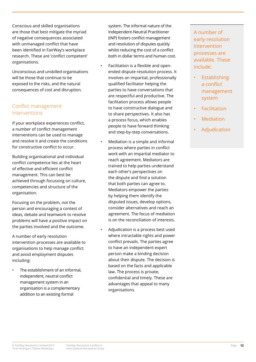Conscious and skilled organisations are those that best mitigate the myriad of negative consequences associated with unmanaged conflict that have been identified in FairWay's workplace research. These are 'conflict competent' organisations.

Unconscious and unskilled organisations will be those that continue to be exposed to the risks, and the natural consequences of cost and disruption.

# Conflict management interventions

If your workplace experiences conflict, a number of conflict management interventions can be used to manage and resolve it and create the conditions for constructive conflict to occur.

Building organisational and individual conflict competence lies at the heart of effective and efficient conflict management. This can best be achieved through focussing on culture, competencies and structure of the organisation.

Focusing on the problem, not the person and encouraging a contest of ideas, debate and teamwork to resolve problems will have a positive impact on the parties involved and the outcome.

A number of early resolution intervention processes are available to organisations to help manage conflict and avoid employment disputes including:

The establishment of an informal, independent, neutral conflict management system in an organisation is a complementary addition to an existing formal

system. The informal nature of the Independent-Neutral Practitioner (INP) fosters conflict management and resolution of disputes quickly whilst reducing the cost of a conflict both in dollar terms and human cost.

- Facilitation is a flexible and openended dispute resolution process. It involves an impartial, professionally qualified facilitator helping the parties to have conversations that are respectful and productive. The facilitation process allows people to have constructive dialogue and to share perspectives. It also has a process focus, which enables people to have forward thinking and step-by-step conversations.
- Mediation is a simple and informal process where parties in conflict work with an impartial mediator to reach agreement. Mediators are trained to help parties understand each other's perspectives on the dispute and find a solution that both parties can agree to. Mediators empower the parties by helping them identify the disputed issues, develop options, consider alternatives and reach an agreement. The focus of mediation is on the reconciliation of interests.
- Adjudication is a process best used where intractable rights and power conflict prevails. The parties agree to have an independent expert person make a binding decision about their dispute. The decision is based on the facts and applicable law. The process is private, confidential and timely. These are advantages that appeal to many organisations.

A number of early resolution intervention processes are available. These include:

- **Establishing** a conflict management system
- Facilitation
- **Mediation**
- **Adjudication**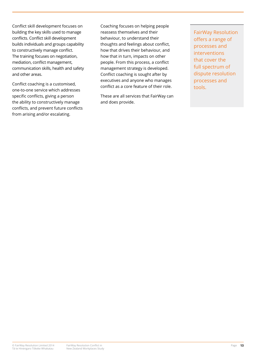Conflict skill development focuses on building the key skills used to manage conflicts. Conflict skill development builds individuals and groups capability to constructively manage conflict. The training focuses on negotiation, mediation, conflict management, communication skills, health and safety and other areas.

Conflict coaching is a customised, one-to-one service which addresses specific conflicts, giving a person the ability to constructively manage conflicts, and prevent future conflicts from arising and/or escalating.

Coaching focuses on helping people reassess themselves and their behaviour, to understand their thoughts and feelings about conflict, how that drives their behaviour, and how that in turn, impacts on other people. From this process, a conflict management strategy is developed. Conflict coaching is sought after by executives and anyone who manages conflict as a core feature of their role.

These are all services that FairWay can and does provide.

FairWay Resolution offers a range of processes and interventions that cover the full spectrum of dispute resolution processes and tools.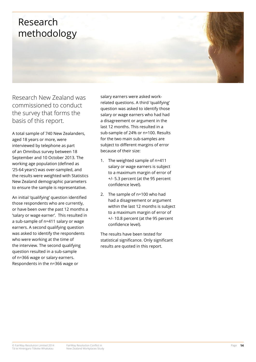# Research methodology

Research New Zealand was commissioned to conduct the survey that forms the basis of this report.

A total sample of 740 New Zealanders, aged 18 years or more, were interviewed by telephone as part of an Omnibus survey between 18 September and 10 October 2013. The working age population (defined as '25-64 years') was over-sampled, and the results were weighted with Statistics New Zealand demographic parameters to ensure the sample is representative.

An initial 'qualifying' question identified those respondents who are currently, or have been over the past 12 months a 'salary or wage earner'. This resulted in a sub-sample of n=411 salary or wage earners. A second qualifying question was asked to identify the respondents who were working at the time of the interview. The second qualifying question resulted in a sub-sample of n=366 wage or salary earners. Respondents in the n=366 wage or

salary earners were asked workrelated questions. A third 'qualifying' question was asked to identify those salary or wage earners who had had a disagreement or argument in the last 12 months. This resulted in a sub-sample of 24% or n=100. Results for the two main sub-samples are subject to different margins of error because of their size:

- 1. The weighted sample of n=411 salary or wage earners is subject to a maximum margin of error of +/- 5.3 percent (at the 95 percent confidence level).
- 2. The sample of n=100 who had had a disagreement or argument within the last 12 months is subject to a maximum margin of error of +/- 10.8 percent (at the 95 percent confidence level).

The results have been tested for statistical significance. Only significant results are quoted in this report.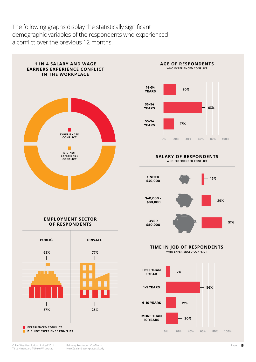The following graphs display the statistically significant demographic variables of the respondents who experienced a conflict over the previous 12 months.

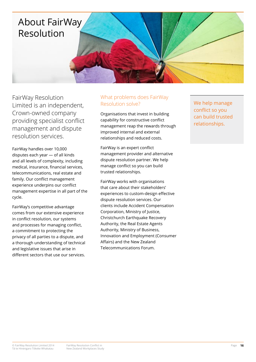

FairWay Resolution Limited is an independent, Crown-owned company providing specialist conflict management and dispute resolution services.

FairWay handles over 10,000 disputes each year — of all kinds and all levels of complexity, including medical, insurance, financial services, telecommunications, real estate and family. Our conflict management experience underpins our conflict management expertise in all part of the cycle.

FairWay's competitive advantage comes from our extensive experience in conflict resolution, our systems and processes for managing conflict, a commitment to protecting the privacy of all parties to a dispute, and a thorough understanding of technical and legislative issues that arise in different sectors that use our services.

# What problems does FairWay Resolution solve?

Organisations that invest in building capability for constructive conflict management reap the rewards through improved internal and external relationships and reduced costs.

FairWay is an expert conflict management provider and alternative dispute resolution partner. We help manage conflict so you can build trusted relationships.

FairWay works with organisations that care about their stakeholders' experiences to custom-design effective dispute resolution services. Our clients include Accident Compensation Corporation, Ministry of Justice, Christchurch Earthquake Recovery Authority, the Real Estate Agents Authority, Ministry of Business, Innovation and Employment (Consumer Affairs) and the New Zealand Telecommunications Forum.

We help manage conflict so you can build trusted relationships.